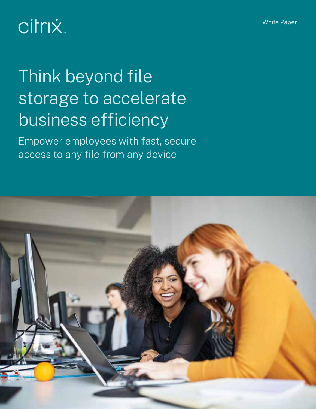# citrix.

# Think beyond file storage to accelerate business efficiency

Empower employees with fast, secure access to any file from any device

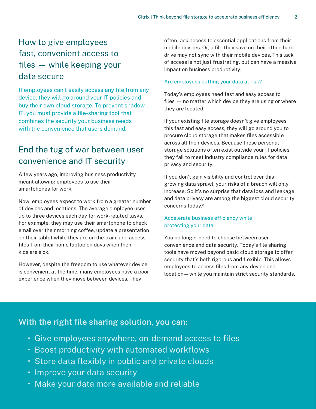# How to give employees fast, convenient access to files — while keeping your data secure

If employees can't easily access any file from any device, they will go around your IT policies and buy their own cloud storage. To prevent shadow IT, you must provide a file-sharing tool that combines the security your business needs with the convenience that users demand.

# End the tug of war between user convenience and IT security

A few years ago, improving business productivity meant allowing employees to use their smartphones for work.

Now, employees expect to work from a greater number of devices and locations. The average employee uses up to three devices each day for work-related tasks.<sup>1</sup> For example, they may use their smartphone to check email over their morning coffee, update a presentation on their tablet while they are on the train, and access files from their home laptop on days when their kids are sick.

However, despite the freedom to use whatever device is convenient at the time, many employees have a poor experience when they move between devices. They

often lack access to essential applications from their mobile devices. Or, a file they save on their office hard drive may not sync with their mobile devices. This lack of access is not just frustrating, but can have a massive impact on business productivity.

## Are employees putting your data at risk?

Today's employees need fast and easy access to files — no matter which device they are using or where they are located.

If your existing file storage doesn't give employees this fast and easy access, they will go around you to procure cloud storage that makes files accessible across all their devices. Because these personal storage solutions often exist outside your IT policies, they fail to meet industry compliance rules for data privacy and security.

If you don't gain visibility and control over this growing data sprawl, your risks of a breach will only increase. So it's no surprise that data loss and leakage and data privacy are among the biggest cloud security concerns today.2

## Accelerate business efficiency while protecting your data

You no longer need to choose between user convenience and data security. Today's file sharing tools have moved beyond basic cloud storage to offer security that's both rigorous and flexible. This allows employees to access files from any device and location—while you maintain strict security standards.

## **With the right file sharing solution, you can:**

- Give employees anywhere, on-demand access to files
- Boost productivity with automated workflows
- Store data flexibly in public and private clouds
- Improve your data security
- Make your data more available and reliable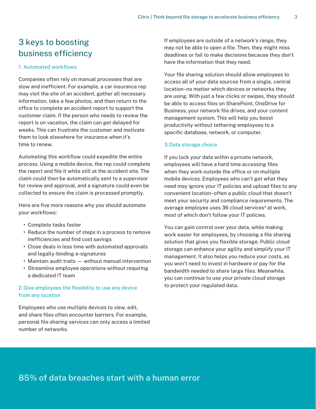# 3 keys to boosting business efficiency

### 1. Automated workflows

Companies often rely on manual processes that are slow and inefficient. For example, a car insurance rep may visit the site of an accident, gather all necessary information, take a few photos, and then return to the office to complete an accident report to support the customer claim. If the person who needs to review the report is on vacation, the claim can get delayed for weeks. This can frustrate the customer and motivate them to look elsewhere for insurance when it's time to renew.

Automating this workflow could expedite the entire process. Using a mobile device, the rep could complete the report and file it while still at the accident site. The claim could then be automatically sent to a supervisor for review and approval, and a signature could even be collected to ensure the claim is processed promptly.

Here are five more reasons why you should automate your workflows:

- **•** Complete tasks faster
- **•** Reduce the number of steps in a process to remove inefficiencies and find cost savings
- **•** Close deals in less time with automated approvals and legally-binding e-signatures
- **•** Maintain audit trails without manual intervention
- **•** Streamline employee operations without requiring a dedicated IT team

## 2. Give employees the flexibility to use any device from any location

Employees who use multiple devices to view, edit, and share files often encounter barriers. For example, personal file sharing services can only access a limited number of networks.

If employees are outside of a network's range, they may not be able to open a file. Then, they might miss deadlines or fail to make decisions because they don't have the information that they need.

Your file sharing solution should allow employees to access all of your data sources from a single, central location–no matter which devices or networks they are using. With just a few clicks or swipes, they should be able to access files on SharePoint, OneDrive for Business, your network file drives, and your content management system. This will help you boost productivity without tethering employees to a specific database, network, or computer.

### 3. Data storage choice

If you lock your data within a private network, employees will have a hard time accessing files when they work outside the office or on multiple mobile devices. Employees who can't get what they need may ignore your IT policies and upload files to any convenient location–often a public cloud that doesn't meet your security and compliance requirements. The average employee uses 36 cloud services<sup>4</sup> at work, most of which don't follow your IT policies.

You can gain control over your data, while making work easier for employees, by choosing a file sharing solution that gives you flexible storage. Public cloud storage can enhance your agility and simplify your IT management. It also helps you reduce your costs, as you won't need to invest in hardware or pay for the bandwidth needed to share large files. Meanwhile, you can continue to use your private cloud storage to protect your regulated data.

## **85% of data breaches start with a human error**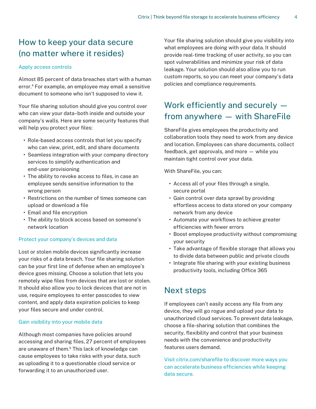# How to keep your data secure (no matter where it resides)

## Apply access controls

Almost 85 percent of data breaches start with a human error.4 For example, an employee may email a sensitive document to someone who isn't supposed to view it.

Your file sharing solution should give you control over who can view your data–both inside and outside your company's walls. Here are some security features that will help you protect your files:

- **•** Role-based access controls that let you specify who can view, print, edit, and share documents
- **•** Seamless integration with your company directory services to simplify authentication and end-user provisioning
- **•** The ability to revoke access to files, in case an employee sends sensitive information to the wrong person
- **•** Restrictions on the number of times someone can upload or download a file
- **•** Email and file encryption
- **•** The ability to block access based on someone's network location

## Protect your company's devices and data

Lost or stolen mobile devices significantly increase your risks of a data breach. Your file sharing solution can be your first line of defense when an employee's device goes missing. Choose a solution that lets you remotely wipe files from devices that are lost or stolen. It should also allow you to lock devices that are not in use, require employees to enter passcodes to view content, and apply data expiration policies to keep your files secure and under control.

### Gain visibility into your mobile data

Although most companies have policies around accessing and sharing files, 27 percent of employees are unaware of them.<sup>5</sup> This lack of knowledge can cause employees to take risks with your data, such as uploading it to a questionable cloud service or forwarding it to an unauthorized user.

Your file sharing solution should give you visibility into what employees are doing with your data. It should provide real-time tracking of user activity, so you can spot vulnerabilities and minimize your risk of data leakage. Your solution should also allow you to run custom reports, so you can meet your company's data policies and compliance requirements.

4

# Work efficiently and securely from anywhere — with ShareFile

ShareFile gives employees the productivity and collaboration tools they need to work from any device and location. Employees can share documents, collect feedback, get approvals, and more — while you maintain tight control over your data.

With ShareFile, you can:

- **•** Access all of your files through a single, secure portal
- **•** Gain control over data sprawl by providing effortless access to data stored on your company network from any device
- **•** Automate your workflows to achieve greater efficiencies with fewer errors
- **•** Boost employee productivity without compromising your security
- **•** Take advantage of flexible storage that allows you to divide data between public and private clouds
- **•** Integrate file sharing with your existing business productivity tools, including Office 365

## Next steps

If employees can't easily access any file from any device, they will go rogue and upload your data to unauthorized cloud services. To prevent data leakage, choose a file-sharing solution that combines the security, flexibility and control that your business needs with the convenience and productivity features users demand.

Visit citrix.com/sharefile to discover more ways you can accelerate business efficiencies while keeping data secure.